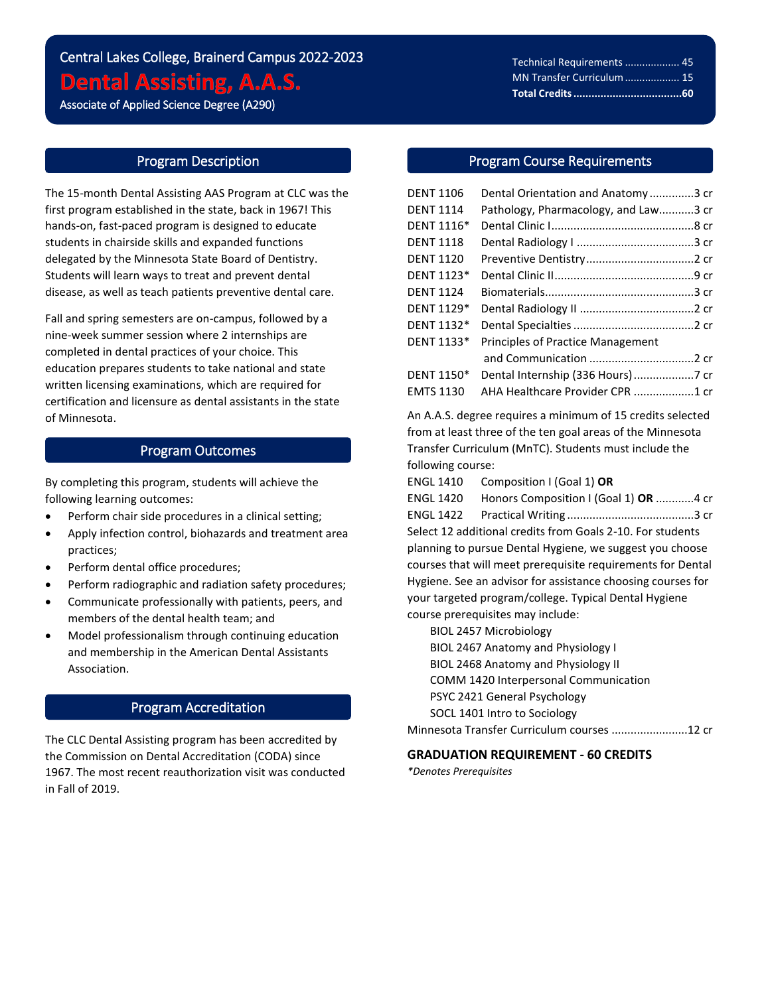# Central Lakes College, Brainerd Campus 2022-2023 **Dental Assisting, A.A.S.**

Associate of Applied Science Degree (A290)

i<br>L

# Program Description

The 15-month Dental Assisting AAS Program at CLC was the first program established in the state, back in 1967! This hands-on, fast-paced program is designed to educate students in chairside skills and expanded functions delegated by the Minnesota State Board of Dentistry. Students will learn ways to treat and prevent dental disease, as well as teach patients preventive dental care.

Fall and spring semesters are on-campus, followed by a nine-week summer session where 2 internships are completed in dental practices of your choice. This education prepares students to take national and state written licensing examinations, which are required for certification and licensure as dental assistants in the state of Minnesota.

## Program Outcomes

By completing this program, students will achieve the following learning outcomes:

- Perform chair side procedures in a clinical setting;
- Apply infection control, biohazards and treatment area practices;
- Perform dental office procedures;
- Perform radiographic and radiation safety procedures;
- Communicate professionally with patients, peers, and members of the dental health team; and
- Model professionalism through continuing education and membership in the American Dental Assistants Association.

# Program Accreditation

The CLC Dental Assisting program has been accredited by the Commission on Dental Accreditation (CODA) since 1967. The most recent reauthorization visit was conducted in Fall of 2019.

## Program Course Requirements

| <b>DENT 1106</b> | Dental Orientation and Anatomy3 cr       |  |
|------------------|------------------------------------------|--|
| <b>DENT 1114</b> | Pathology, Pharmacology, and Law3 cr     |  |
| DENT 1116*       |                                          |  |
| <b>DENT 1118</b> |                                          |  |
| <b>DENT 1120</b> |                                          |  |
| DENT 1123*       |                                          |  |
| <b>DENT 1124</b> |                                          |  |
| DENT 1129*       |                                          |  |
| DENT 1132*       |                                          |  |
| DENT 1133*       | <b>Principles of Practice Management</b> |  |
|                  |                                          |  |
| DENT 1150*       |                                          |  |
| <b>EMTS 1130</b> | AHA Healthcare Provider CPR 1 cr         |  |

An A.A.S. degree requires a minimum of 15 credits selected from at least three of the ten goal areas of the Minnesota Transfer Curriculum (MnTC). Students must include the following course:

ENGL 1410 Composition I (Goal 1) **OR**

ENGL 1420 Honors Composition I (Goal 1) **OR** ............4 cr ENGL 1422 Practical Writing ........................................3 cr Select 12 additional credits from Goals 2-10. For students planning to pursue Dental Hygiene, we suggest you choose courses that will meet prerequisite requirements for Dental Hygiene. See an advisor for assistance choosing courses for your targeted program/college. Typical Dental Hygiene course prerequisites may include:

BIOL 2457 Microbiology BIOL 2467 Anatomy and Physiology I BIOL 2468 Anatomy and Physiology II COMM 1420 Interpersonal Communication PSYC 2421 General Psychology SOCL 1401 Intro to Sociology Minnesota Transfer Curriculum courses ........................12 cr

#### **GRADUATION REQUIREMENT - 60 CREDITS**

*\*Denotes Prerequisites*

Technical Requirements ................... 45 MN Transfer Curriculum................... 15 **Total Credits....................................60**